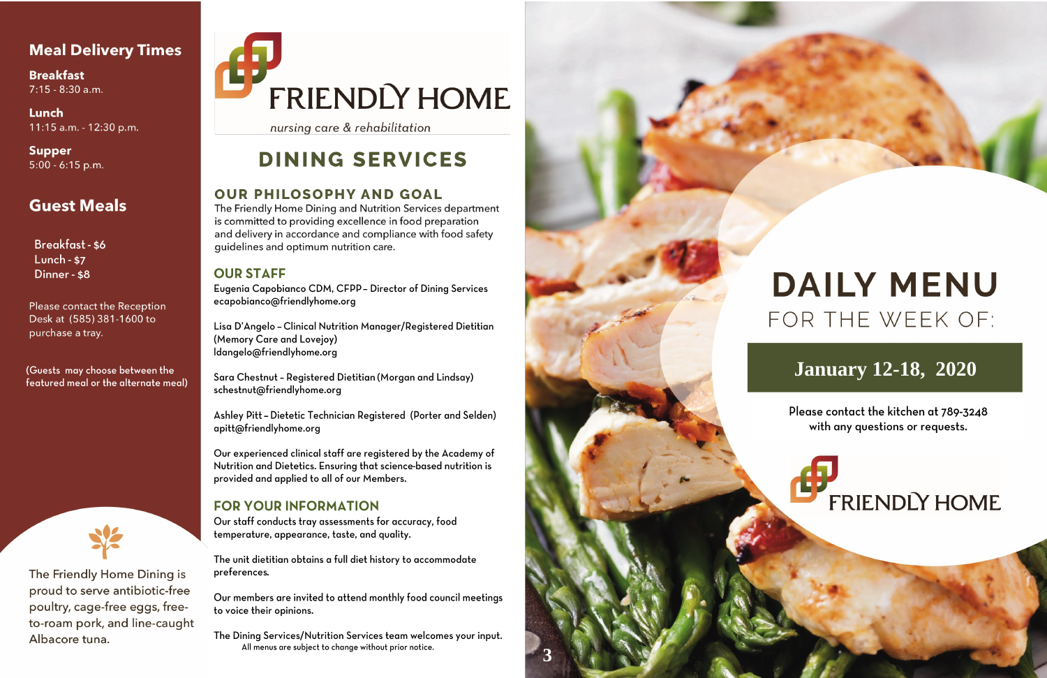### **Meal Delivery Times**

**Breakfast**  $7:15 - 8:30$  a.m.

Lunch 11:15 a.m. - 12:30 p.m.

**Supper**  $5:00 - 6:15$  p.m.

## **Guest Meals**

**Breakfast - \$6** Lunch -  $$7$ Dinner - \$8

Please contact the Reception Desk at (585) 381-1600 to purchase a tray.

(Guests may choose between the featured meal or the alternate meal)



The Friendly Home Dining is proud to serve antibiotic-free poultry, cage-free eggs, freeto-roam pork, and line-caught Albacore tuna.

# FRIENDLY HOME

nursing care & rehabilitation

## **DINING SERVICES**

#### **OUR PHILOSOPHY AND GOAL**

The Friendly Home Dining and Nutrition Services department is committed to providing excellence in food preparation and delivery in accordance and compliance with food safety guidelines and optimum nutrition care.

#### **OUR STAFF**

Eugenia Capobianco CDM, CFPP - Director of Dining Services ecapobianco@friendlyhome.org

Lisa D'Angelo - Clinical Nutrition Manager/Registered Dietitian (Memory Care and Lovejoy) ldangelo@friendlyhome.org

Sara Chestnut - Registered Dietitian (Morgan and Lindsay) schestnut@friendlyhome.org

Ashley Pitt - Dietetic Technician Registered (Porter and Selden) apitt@friendlyhome.org

Our experienced clinical staff are registered by the Academy of Nutrition and Dietetics. Ensuring that science-based nutrition is provided and applied to all of our Members.

#### **FOR YOUR INFORMATION**

Our staff conducts tray assessments for accuracy, food temperature, appearance, taste, and quality.

The unit dietitian obtains a full diet history to accommodate preferences.

Our members are invited to attend monthly food council meetings to voice their opinions.

The Dining Services/Nutrition Services team welcomes your input. All menus are subject to change without prior notice.



## **DAILY MENU** FOR THE WEEK OF:

## **January 12-18, 2020**

Please contact the kitchen at 789-3248 with any questions or requests.

## **FRIENDLY HOME**